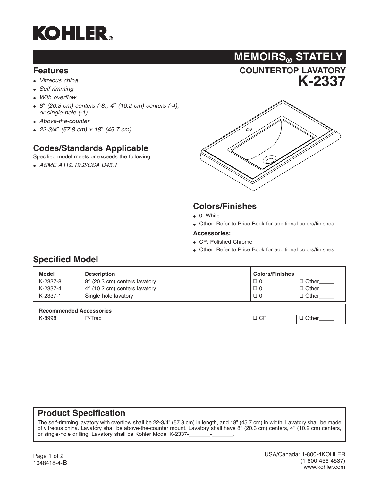

#### **Features**

- *Vitreous china*
- *Self-rimming*
- *With overflow*
- *8*″ *(20.3 cm) centers (-8), 4*″ *(10.2 cm) centers (-4), or single-hole (-1)*
- *Above-the-counter*
- *22-3/4*″ *(57.8 cm) x 18*″ *(45.7 cm)*

# **Codes/Standards Applicable**

Specified model meets or exceeds the following:

• *ASME A112.19.2/CSA B45.1*



**COUNTERTOP LAVATORY**

**MEMOIRS® STATELY**

# **Colors/Finishes**

- 0: White
- Other: Refer to Price Book for additional colors/finishes

#### **Accessories:**

- CP: Polished Chrome
- Other: Refer to Price Book for additional colors/finishes

### **Specified Model**

| <b>Model</b>                   | <b>Description</b>            | <b>Colors/Finishes</b> |              |  |  |  |  |  |
|--------------------------------|-------------------------------|------------------------|--------------|--|--|--|--|--|
| K-2337-8                       | 8" (20.3 cm) centers lavatory | 0 ⊏                    | $\Box$ Other |  |  |  |  |  |
| K-2337-4                       | 4" (10.2 cm) centers lavatory | 0 ت                    | $\Box$ Other |  |  |  |  |  |
| K-2337-1                       | Single hole lavatory          | □ 0                    | $\Box$ Other |  |  |  |  |  |
| <b>Recommended Accessories</b> |                               |                        |              |  |  |  |  |  |
| K-8998                         | P-Trap                        | $\Box$ CP              | $\Box$ Other |  |  |  |  |  |

### **Product Specification**

The self-rimming lavatory with overflow shall be 22-3/4" (57.8 cm) in length, and 18" (45.7 cm) in width. Lavatory shall be made of vitreous china. Lavatory shall be above-the-counter mount. Lavatory shall have 8″ (20.3 cm) centers, 4″ (10.2 cm) centers, or single-hole drilling. Lavatory shall be Kohler Model K-2337-